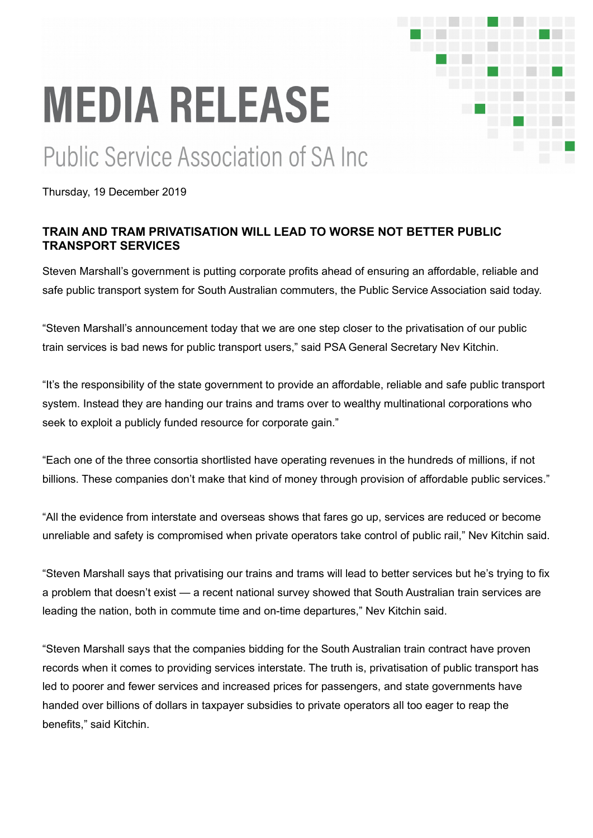## **MEDIA RELEASE**

## **Public Service Association of SA Inc.**

Thursday, 19 December 2019

## **TRAIN AND TRAM PRIVATISATION WILL LEAD TO WORSE NOT BETTER PUBLIC TRANSPORT SERVICES**

Steven Marshall's government is putting corporate profits ahead of ensuring an affordable, reliable and safe public transport system for South Australian commuters, the Public Service Association said today.

"Steven Marshall's announcement today that we are one step closer to the privatisation of our public train services is bad news for public transport users," said PSA General Secretary Nev Kitchin.

"It's the responsibility of the state government to provide an affordable, reliable and safe public transport system. Instead they are handing our trains and trams over to wealthy multinational corporations who seek to exploit a publicly funded resource for corporate gain."

"Each one of the three consortia shortlisted have operating revenues in the hundreds of millions, if not billions. These companies don't make that kind of money through provision of affordable public services."

"All the evidence from interstate and overseas shows that fares go up, services are reduced or become unreliable and safety is compromised when private operators take control of public rail," Nev Kitchin said.

"Steven Marshall says that privatising our trains and trams will lead to better services but he's trying to fix a problem that doesn't exist — a recent national survey showed that South Australian train services are leading the nation, both in commute time and on-time departures," Nev Kitchin said.

"Steven Marshall says that the companies bidding for the South Australian train contract have proven records when it comes to providing services interstate. The truth is, privatisation of public transport has led to poorer and fewer services and increased prices for passengers, and state governments have handed over billions of dollars in taxpayer subsidies to private operators all too eager to reap the benefits," said Kitchin.